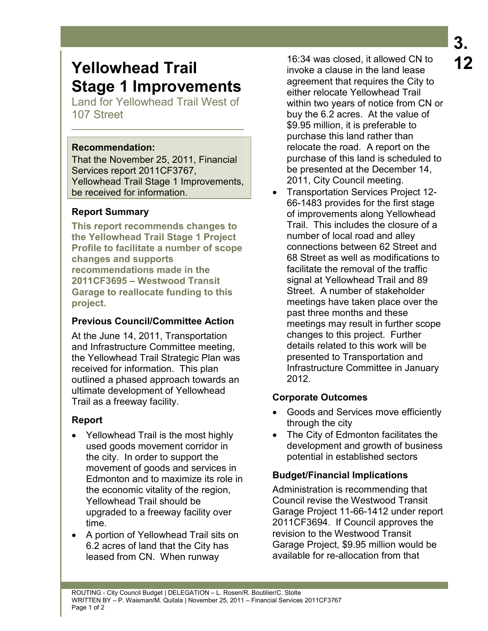# **Yellowhead Trail Stage 1 Improvements**

Land for Yellowhead Trail West of 107 Street

#### **Recommendation:**

That the November 25, 2011, Financial Services report 2011CF3767, Yellowhead Trail Stage 1 Improvements, be received for information.

# **Report Summary**

**This report recommends changes to the Yellowhead Trail Stage 1 Project Profile to facilitate a number of scope changes and supports recommendations made in the 2011CF3695 – Westwood Transit Garage to reallocate funding to this project.** 

#### **Previous Council/Committee Action**

At the June 14, 2011, Transportation and Infrastructure Committee meeting, the Yellowhead Trail Strategic Plan was received for information. This plan outlined a phased approach towards an ultimate development of Yellowhead Trail as a freeway facility.

# **Report**

- Yellowhead Trail is the most highly used goods movement corridor in the city. In order to support the movement of goods and services in Edmonton and to maximize its role in the economic vitality of the region, Yellowhead Trail should be upgraded to a freeway facility over time.
- A portion of Yellowhead Trail sits on 6.2 acres of land that the City has leased from CN. When runway

16:34 was closed, it allowed CN to invoke a clause in the land lease agreement that requires the City to either relocate Yellowhead Trail within two years of notice from CN or buy the 6.2 acres. At the value of \$9.95 million, it is preferable to purchase this land rather than relocate the road. A report on the purchase of this land is scheduled to be presented at the December 14, 2011, City Council meeting.

• Transportation Services Project 12- 66-1483 provides for the first stage of improvements along Yellowhead Trail. This includes the closure of a number of local road and alley connections between 62 Street and 68 Street as well as modifications to facilitate the removal of the traffic signal at Yellowhead Trail and 89 Street. A number of stakeholder meetings have taken place over the past three months and these meetings may result in further scope changes to this project. Further details related to this work will be presented to Transportation and Infrastructure Committee in January 2012.

# **Corporate Outcomes**

- Goods and Services move efficiently through the city
- The City of Edmonton facilitates the development and growth of business potential in established sectors

# **Budget/Financial Implications**

Administration is recommending that Council revise the Westwood Transit Garage Project 11-66-1412 under report 2011CF3694. If Council approves the revision to the Westwood Transit Garage Project, \$9.95 million would be available for re-allocation from that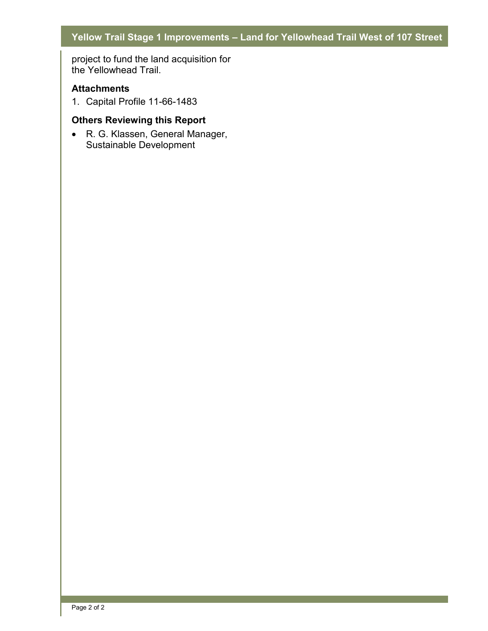# **Yellow Trail Stage 1 Improvements – Land for Yellowhead Trail West of 107 Street**

project to fund the land acquisition for the Yellowhead Trail.

#### **Attachments**

1. Capital Profile 11-66-1483

#### **Others Reviewing this Report**

• R. G. Klassen, General Manager, Sustainable Development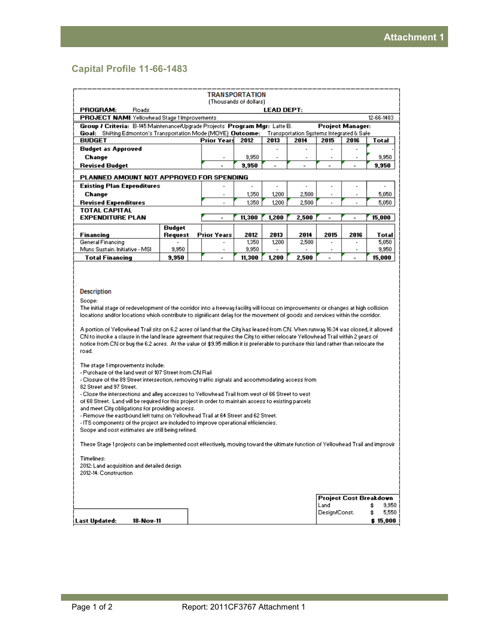#### **Capital Profile 11-66-1483**

| <b>TRANSPORTATION</b><br>(Thousands of dollars).                                                                                                                                                                                                                                                                                                                                                                                                                                                                                                                                                                                                                                                                                                                                                                                                                                                                                                                                                                                                                                                                                                                                                                                                                                                                                                                                                                                                                                                                                                                                                                                                                         |         |                          |        |       |       |                          |                |                                                                  |  |  |  |
|--------------------------------------------------------------------------------------------------------------------------------------------------------------------------------------------------------------------------------------------------------------------------------------------------------------------------------------------------------------------------------------------------------------------------------------------------------------------------------------------------------------------------------------------------------------------------------------------------------------------------------------------------------------------------------------------------------------------------------------------------------------------------------------------------------------------------------------------------------------------------------------------------------------------------------------------------------------------------------------------------------------------------------------------------------------------------------------------------------------------------------------------------------------------------------------------------------------------------------------------------------------------------------------------------------------------------------------------------------------------------------------------------------------------------------------------------------------------------------------------------------------------------------------------------------------------------------------------------------------------------------------------------------------------------|---------|--------------------------|--------|-------|-------|--------------------------|----------------|------------------------------------------------------------------|--|--|--|
| PROGRAM:<br>Roads<br><b>LEAD DEPT:</b>                                                                                                                                                                                                                                                                                                                                                                                                                                                                                                                                                                                                                                                                                                                                                                                                                                                                                                                                                                                                                                                                                                                                                                                                                                                                                                                                                                                                                                                                                                                                                                                                                                   |         |                          |        |       |       |                          |                |                                                                  |  |  |  |
| PROJECT NAME Yellowhead Stage 1Improvements<br>12-66-1483                                                                                                                                                                                                                                                                                                                                                                                                                                                                                                                                                                                                                                                                                                                                                                                                                                                                                                                                                                                                                                                                                                                                                                                                                                                                                                                                                                                                                                                                                                                                                                                                                |         |                          |        |       |       |                          |                |                                                                  |  |  |  |
| Group / Criteria: B-145 Maintenance/Upgrade Projects Program Mgr: Latte B.<br><b>Project Manager:</b>                                                                                                                                                                                                                                                                                                                                                                                                                                                                                                                                                                                                                                                                                                                                                                                                                                                                                                                                                                                                                                                                                                                                                                                                                                                                                                                                                                                                                                                                                                                                                                    |         |                          |        |       |       |                          |                |                                                                  |  |  |  |
| Goal: Shifting Edmonton's Transportation Mode (MOVE) Outcome:<br>Transportation Systems Integrated & Safe                                                                                                                                                                                                                                                                                                                                                                                                                                                                                                                                                                                                                                                                                                                                                                                                                                                                                                                                                                                                                                                                                                                                                                                                                                                                                                                                                                                                                                                                                                                                                                |         |                          |        |       |       |                          |                |                                                                  |  |  |  |
| <b>BUDGET</b>                                                                                                                                                                                                                                                                                                                                                                                                                                                                                                                                                                                                                                                                                                                                                                                                                                                                                                                                                                                                                                                                                                                                                                                                                                                                                                                                                                                                                                                                                                                                                                                                                                                            |         | Prior Years              | 2012   | 2013  | 2014  | 2015                     | 2016           | Total                                                            |  |  |  |
| <b>Budget as Approved</b>                                                                                                                                                                                                                                                                                                                                                                                                                                                                                                                                                                                                                                                                                                                                                                                                                                                                                                                                                                                                                                                                                                                                                                                                                                                                                                                                                                                                                                                                                                                                                                                                                                                |         |                          |        |       |       | $\overline{a}$           |                |                                                                  |  |  |  |
| Change                                                                                                                                                                                                                                                                                                                                                                                                                                                                                                                                                                                                                                                                                                                                                                                                                                                                                                                                                                                                                                                                                                                                                                                                                                                                                                                                                                                                                                                                                                                                                                                                                                                                   |         |                          | 9,950  |       |       |                          |                | 9,950                                                            |  |  |  |
| <b>Revised Budget</b>                                                                                                                                                                                                                                                                                                                                                                                                                                                                                                                                                                                                                                                                                                                                                                                                                                                                                                                                                                                                                                                                                                                                                                                                                                                                                                                                                                                                                                                                                                                                                                                                                                                    |         |                          | 9,950  |       |       |                          |                | 9,950                                                            |  |  |  |
| PLANNED AMOUNT NOT APPROVED FOR SPENDING                                                                                                                                                                                                                                                                                                                                                                                                                                                                                                                                                                                                                                                                                                                                                                                                                                                                                                                                                                                                                                                                                                                                                                                                                                                                                                                                                                                                                                                                                                                                                                                                                                 |         |                          |        |       |       |                          |                |                                                                  |  |  |  |
| <b>Existing Plan Expenditures</b>                                                                                                                                                                                                                                                                                                                                                                                                                                                                                                                                                                                                                                                                                                                                                                                                                                                                                                                                                                                                                                                                                                                                                                                                                                                                                                                                                                                                                                                                                                                                                                                                                                        |         | ٠                        |        |       |       | Ĭ.                       |                |                                                                  |  |  |  |
| Change                                                                                                                                                                                                                                                                                                                                                                                                                                                                                                                                                                                                                                                                                                                                                                                                                                                                                                                                                                                                                                                                                                                                                                                                                                                                                                                                                                                                                                                                                                                                                                                                                                                                   |         | $\blacksquare$           | 1,350  | 1,200 | 2,500 | $\blacksquare$           | $\blacksquare$ | 5,050                                                            |  |  |  |
| <b>Revised Expenditures</b>                                                                                                                                                                                                                                                                                                                                                                                                                                                                                                                                                                                                                                                                                                                                                                                                                                                                                                                                                                                                                                                                                                                                                                                                                                                                                                                                                                                                                                                                                                                                                                                                                                              |         | $\overline{a}$           | 1,350  | 1,200 | 2,500 | $\overline{a}$           | $\overline{a}$ | 5,050                                                            |  |  |  |
| <b>TOTAL CAPITAL</b>                                                                                                                                                                                                                                                                                                                                                                                                                                                                                                                                                                                                                                                                                                                                                                                                                                                                                                                                                                                                                                                                                                                                                                                                                                                                                                                                                                                                                                                                                                                                                                                                                                                     |         |                          |        |       |       |                          |                |                                                                  |  |  |  |
| <b>EXPENDITURE PLAN</b>                                                                                                                                                                                                                                                                                                                                                                                                                                                                                                                                                                                                                                                                                                                                                                                                                                                                                                                                                                                                                                                                                                                                                                                                                                                                                                                                                                                                                                                                                                                                                                                                                                                  |         | $\overline{\phantom{0}}$ | 11,300 | 1,200 | 2,500 | $\overline{a}$           | $\overline{a}$ | 15,000                                                           |  |  |  |
|                                                                                                                                                                                                                                                                                                                                                                                                                                                                                                                                                                                                                                                                                                                                                                                                                                                                                                                                                                                                                                                                                                                                                                                                                                                                                                                                                                                                                                                                                                                                                                                                                                                                          | Budget  |                          |        |       |       |                          |                |                                                                  |  |  |  |
| Financing                                                                                                                                                                                                                                                                                                                                                                                                                                                                                                                                                                                                                                                                                                                                                                                                                                                                                                                                                                                                                                                                                                                                                                                                                                                                                                                                                                                                                                                                                                                                                                                                                                                                | Request | <b>Prior Years</b>       | 2012   | 2013  | 2014  | 2015                     | 2016           | Total                                                            |  |  |  |
| General Financing                                                                                                                                                                                                                                                                                                                                                                                                                                                                                                                                                                                                                                                                                                                                                                                                                                                                                                                                                                                                                                                                                                                                                                                                                                                                                                                                                                                                                                                                                                                                                                                                                                                        |         |                          | 1,350  | 1,200 | 2,500 | ٠                        | $\blacksquare$ | 5,050                                                            |  |  |  |
| Mund Sustain, Initiative - MSI                                                                                                                                                                                                                                                                                                                                                                                                                                                                                                                                                                                                                                                                                                                                                                                                                                                                                                                                                                                                                                                                                                                                                                                                                                                                                                                                                                                                                                                                                                                                                                                                                                           | 9,950   | $\blacksquare$           | 9,950  |       |       | $\overline{\phantom{a}}$ | $\blacksquare$ | 9,950                                                            |  |  |  |
| <b>Total Financing</b>                                                                                                                                                                                                                                                                                                                                                                                                                                                                                                                                                                                                                                                                                                                                                                                                                                                                                                                                                                                                                                                                                                                                                                                                                                                                                                                                                                                                                                                                                                                                                                                                                                                   | 9,950   |                          | 11,300 | 1,200 | 2,500 | $\overline{a}$           | $\overline{a}$ | 15,000                                                           |  |  |  |
| Description<br>Scope:<br>The initial stage of redevelopment of the corridor into a freeway facility will focus on improvements or changes at high collision<br>locations and/or locations which contribute to significant delay for the movement of goods and services within the corridor.<br>A portion of Yellowhead Trail sits on 6.2 acres of land that the City has leased from CN. When runway 16:34 was closed, it allowed<br>CN to invoke a clause in the land lease agreement that requires the City to either relocate Yellowhead Trail within 2 years of<br>notice from CN or buy the 6.2 acres. At the value of \$9.95 million it is preferable to purchase this land rather than relocate the<br>road.<br>The stage 1 improvements include:<br>- Purchase of the land west of 107 Street from CN Rail<br>- Closure of the 89 Street intersection, removing traffic signals and accommodating access from<br>82 Street and 97 Street.<br>- Close the intersections and alley accesses to Yellowhead Trail from west of 66 Street to west<br>of 68 Street. Land will be required for this project in order to maintain access to existing parcels<br>and meet City obligations for providing access.<br>- Remove the eastbound left turns on Yellowhead Trail at 64 Street and 62 Street.<br>- ITS components of the project are included to improve operational efficiencies.<br>Scope and cost estimates are still being refined.<br>These Stage 1 projects can be implemented cost effectively, moving toward the ultimate function of Yellowhead Trail and improvir<br>Timelines:<br>2012: Land acquisition and detailed design.<br>2012-14: Construction |         |                          |        |       |       |                          |                |                                                                  |  |  |  |
| 18-Nov-11<br>i Last Updated:                                                                                                                                                                                                                                                                                                                                                                                                                                                                                                                                                                                                                                                                                                                                                                                                                                                                                                                                                                                                                                                                                                                                                                                                                                                                                                                                                                                                                                                                                                                                                                                                                                             |         |                          |        |       |       | Land<br>Design/Const.    |                | Project Cost Breakdown<br>9,950<br>\$<br>5,550<br>\$<br>\$15,000 |  |  |  |